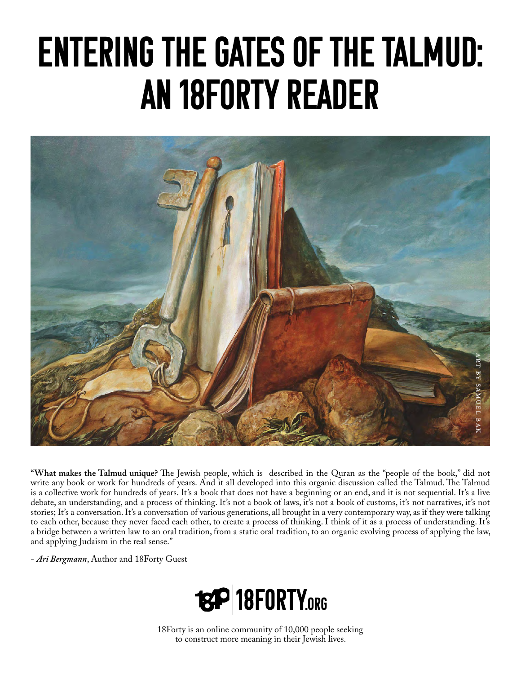# Entering the Gates of the Talmud: An 18Forty Reader



**"What makes the Talmud unique?** The Jewish people, which is described in the Quran as the "people of the book," did not write any book or work for hundreds of years. And it all developed into this organic discussion called the Talmud. The Talmud is a collective work for hundreds of years. It's a book that does not have a beginning or an end, and it is not sequential. It's a live debate, an understanding, and a process of thinking. It's not a book of laws, it's not a book of customs, it's not narratives, it's not stories; It's a conversation. It's a conversation of various generations, all brought in a very contemporary way, as if they were talking to each other, because they never faced each other, to create a process of thinking. I think of it as a process of understanding. It's a bridge between a written law to an oral tradition, from a static oral tradition, to an organic evolving process of applying the law, and applying Judaism in the real sense."

- *Ari Bergmann*, Author and 18Forty Guest



18Forty is an online community of 10,000 people seeking to construct more meaning in their Jewish lives.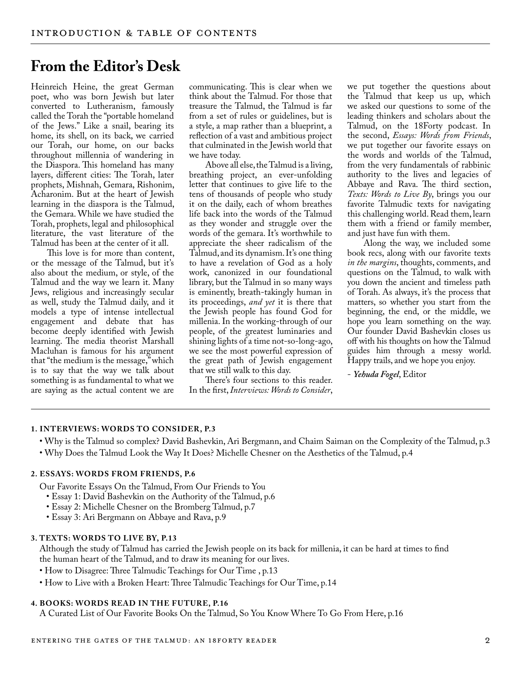## **From the Editor's Desk**

Heinreich Heine, the great German poet, who was born Jewish but later converted to Lutheranism, famously called the Torah the "portable homeland of the Jews." Like a snail, bearing its home, its shell, on its back, we carried our Torah, our home, on our backs throughout millennia of wandering in the Diaspora. This homeland has many layers, different cities: The Torah, later prophets, Mishnah, Gemara, Rishonim, Acharonim. But at the heart of Jewish learning in the diaspora is the Talmud, the Gemara. While we have studied the Torah, prophets, legal and philosophical literature, the vast literature of the Talmud has been at the center of it all.

This love is for more than content, or the message of the Talmud, but it's also about the medium, or style, of the Talmud and the way we learn it. Many Jews, religious and increasingly secular as well, study the Talmud daily, and it models a type of intense intellectual engagement and debate that has become deeply identified with Jewish learning. The media theorist Marshall Macluhan is famous for his argument that "the medium is the message," which is to say that the way we talk about something is as fundamental to what we are saying as the actual content we are

communicating. This is clear when we think about the Talmud. For those that treasure the Talmud, the Talmud is far from a set of rules or guidelines, but is a style, a map rather than a blueprint, a reflection of a vast and ambitious project that culminated in the Jewish world that we have today.

Above all else, the Talmud is a living, breathing project, an ever-unfolding letter that continues to give life to the tens of thousands of people who study it on the daily, each of whom breathes life back into the words of the Talmud as they wonder and struggle over the words of the gemara. It's worthwhile to appreciate the sheer radicalism of the Talmud, and its dynamism. It's one thing to have a revelation of God as a holy work, canonized in our foundational library, but the Talmud in so many ways is eminently, breath-takingly human in its proceedings, *and yet* it is there that the Jewish people has found God for millenia. In the working-through of our people, of the greatest luminaries and shining lights of a time not-so-long-ago, we see the most powerful expression of the great path of Jewish engagement that we still walk to this day.

There's four sections to this reader. In the first, *Interviews: Words to Consider*, we put together the questions about the Talmud that keep us up, which we asked our questions to some of the leading thinkers and scholars about the Talmud, on the 18Forty podcast. In the second, *Essays: Words from Friends*, we put together our favorite essays on the words and worlds of the Talmud, from the very fundamentals of rabbinic authority to the lives and legacies of Abbaye and Rava. The third section, *Texts: Words to Live By*, brings you our favorite Talmudic texts for navigating this challenging world. Read them, learn them with a friend or family member, and just have fun with them.

Along the way, we included some book recs, along with our favorite texts *in the margins*, thoughts, comments, and questions on the Talmud, to walk with you down the ancient and timeless path of Torah. As always, it's the process that matters, so whether you start from the beginning, the end, or the middle, we hope you learn something on the way. Our founder David Bashevkin closes us off with his thoughts on how the Talmud guides him through a messy world. Happy trails, and we hope you enjoy.

- *Yehuda Fogel*, Editor

## **1. INTERVIEWS: WORDS TO CONSIDER, P.3**

• Why is the Talmud so complex? David Bashevkin, Ari Bergmann, and Chaim Saiman on the Complexity of the Talmud, p.3 • Why Does the Talmud Look the Way It Does? Michelle Chesner on the Aesthetics of the Talmud, p.4

## **2. ESSAYS: WORDS FROM FRIENDS, P.6**

Our Favorite Essays On the Talmud, From Our Friends to You

- Essay 1: David Bashevkin on the Authority of the Talmud, p.6
- Essay 2: Michelle Chesner on the Bromberg Talmud, p.7
- Essay 3: Ari Bergmann on Abbaye and Rava, p.9

## **3. TEXTS: WORDS TO LIVE BY, P.13**

Although the study of Talmud has carried the Jewish people on its back for millenia, it can be hard at times to find the human heart of the Talmud, and to draw its meaning for our lives.

• How to Disagree: Three Talmudic Teachings for Our Time , p.13

• How to Live with a Broken Heart: Three Talmudic Teachings for Our Time, p.14

## 4. BOOKS: WORDS READ IN THE FUTURE, P.16

A Curated List of Our Favorite Books On the Talmud, So You Know Where To Go From Here, p.16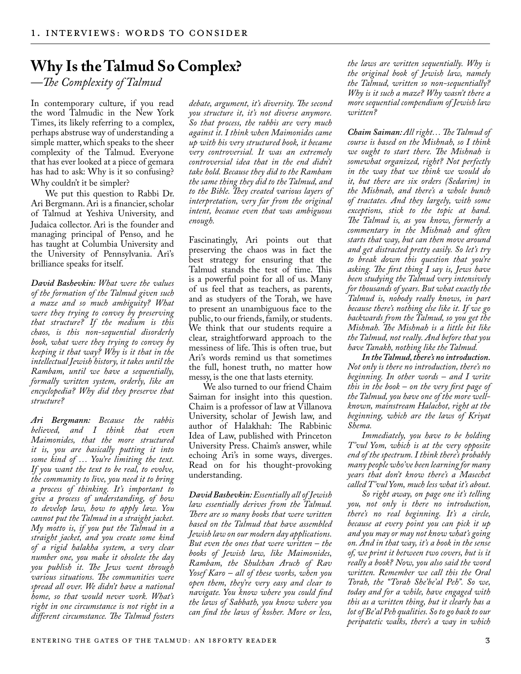## **Why Is the Talmud So Complex?**

*—The Complexity of Talmud*

In contemporary culture, if you read the word Talmudic in the New York Times, its likely referring to a complex, perhaps abstruse way of understanding a simple matter, which speaks to the sheer complexity of the Talmud. Everyone that has ever looked at a piece of gemara has had to ask: Why is it so confusing? Why couldn't it be simpler?

We put this question to Rabbi Dr. Ari Bergmann. Ari is a financier, scholar of Talmud at Yeshiva University, and Judaica collector. Ari is the founder and managing principal of Penso, and he has taught at Columbia University and the University of Pennsylvania. Ari's brilliance speaks for itself.

*David Bashevkin: What were the values of the formation of the Talmud given such a maze and so much ambiguity? What were they trying to convey by preserving that structure? If the medium is this chaos, is this non-sequential disorderly book, what were they trying to convey by keeping it that way? Why is it that in the intellectual Jewish history, it takes until the Rambam, until we have a sequentially, formally written system, orderly, like an encyclopedia? Why did they preserve that structure?*

*Ari Bergmann: Because the rabbis believed, and I think that even Maimonides, that the more structured it is, you are basically putting it into some kind of … You're limiting the text. If you want the text to be real, to evolve, the community to live, you need it to bring a process of thinking. It's important to give a process of understanding, of how to develop law, how to apply law. You cannot put the Talmud in a straight jacket. My motto is, if you put the Talmud in a straight jacket, and you create some kind of a rigid halakha system, a very clear number one, you make it obsolete the day you publish it. The Jews went through various situations. The communities were spread all over. We didn't have a national home, so that would never work. What's right in one circumstance is not right in a different circumstance. The Talmud fosters* 

*debate, argument, it's diversity. The second you structure it, it's not diverse anymore. So that process, the rabbis are very much against it. I think when Maimonides came up with his very structured book, it became very controversial. It was an extremely controversial idea that in the end didn't take hold. Because they did to the Rambam the same thing they did to the Talmud, and to the Bible. They created various layers of interpretation, very far from the original intent, because even that was ambiguous enough.*

Fascinatingly, Ari points out that preserving the chaos was in fact the best strategy for ensuring that the Talmud stands the test of time. This is a powerful point for all of us. Many of us feel that as teachers, as parents, and as studyers of the Torah, we have to present an unambiguous face to the public, to our friends, family, or students. We think that our students require a clear, straightforward approach to the messiness of life. This is often true, but Ari's words remind us that sometimes the full, honest truth, no matter how messy, is the one that lasts eternity.

We also turned to our friend Chaim Saiman for insight into this question. Chaim is a professor of law at Villanova University, scholar of Jewish law, and author of Halakhah: The Rabbinic Idea of Law, published with Princeton University Press. Chaim's answer, while echoing Ari's in some ways, diverges. Read on for his thought-provoking understanding.

*David Bashevkin: Essentially all of Jewish law essentially derives from the Talmud. There are so many books that were written based on the Talmud that have assembled Jewish law on our modern day applications. But even the ones that were written – the books of Jewish law, like Maimonides, Rambam, the Shulchan Aruch of Rav Yosef Karo – all of these works, when you open them, they're very easy and clear to navigate. You know where you could find the laws of Sabbath, you know where you can find the laws of kosher. More or less,* 

*the laws are written sequentially. Why is the original book of Jewish law, namely the Talmud, written so non-sequentially? Why is it such a maze? Why wasn't there a more sequential compendium of Jewish law written?*

*Chaim Saiman: All right… The Talmud of course is based on the Mishnah, so I think we ought to start there. The Mishnah is somewhat organized, right? Not perfectly in the way that we think we would do it, but there are six orders (Sedarim) in the Mishnah, and there's a whole bunch of tractates. And they largely, with some exceptions, stick to the topic at hand. The Talmud is, as you know, formerly a commentary in the Mishnah and often starts that way, but can then move around and get distracted pretty easily. So let's try to break down this question that you're asking. The first thing I say is, Jews have been studying the Talmud very intensively for thousands of years. But what exactly the Talmud is, nobody really knows, in part because there's nothing else like it. If we go backwards from the Talmud, so you get the Mishnah. The Mishnah is a little bit like the Talmud, not really. And before that you have Tanakh, nothing like the Talmud.*

*In the Talmud, there's no introduction. Not only is there no introduction, there's no beginning. In other words – and I write this in the book – on the very first page of the Talmud, you have one of the more wellknown, mainstream Halachot, right at the beginning, which are the laws of Kriyat Shema.* 

*Immediately, you have to be holding T'vul Yom, which is at the very opposite end of the spectrum. I think there's probably many people who've been learning for many years that don't know there's a Masechet called T'vul Yom, much less what it's about.* 

*So right away, on page one it's telling you, not only is there no introduction, there's no real beginning. It's a circle, because at every point you can pick it up and you may or may not know what's going on. And in that way, it's a book in the sense of, we print it between two covers, but is it really a book? Now, you also said the word written. Remember we call this the Oral Torah, the "Torah She'be'al Peh". So we, today and for a while, have engaged with this as a written thing, but it clearly has a lot of Be'al Peh qualities. So to go back to our peripatetic walks, there's a way in which*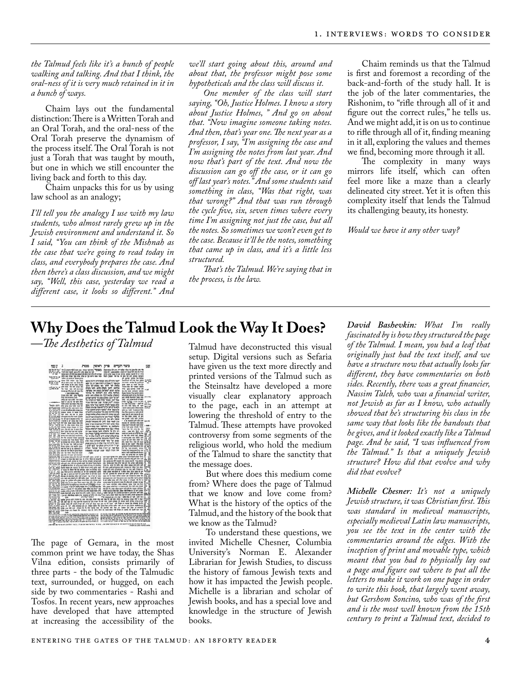*the Talmud feels like it's a bunch of people walking and talking. And that I think, the oral-ness of it is very much retained in it in a bunch of ways.*

Chaim lays out the fundamental distinction: There is a Written Torah and an Oral Torah, and the oral-ness of the Oral Torah preserve the dynamism of the process itself. The Oral Torah is not just a Torah that was taught by mouth, but one in which we still encounter the living back and forth to this day.

Chaim unpacks this for us by using law school as an analogy;

*I'll tell you the analogy I use with my law students, who almost rarely grew up in the Jewish environment and understand it. So I said, "You can think of the Mishnah as the case that we're going to read today in class, and everybody prepares the case. And then there's a class discussion, and we might say, "Well, this case, yesterday we read a different case, it looks so different." And*  *we'll start going about this, around and about that, the professor might pose some hypotheticals and the class will discuss it.* 

*One member of the class will start saying, "Oh, Justice Holmes. I know a story about Justice Holmes, " And go on about that. "Now imagine someone taking notes. And then, that's year one. The next year as a professor, I say, "I'm assigning the case and I'm assigning the notes from last year. And now that's part of the text. And now the discussion can go off the case, or it can go off last year's notes." And some students said something in class, "Was that right, was that wrong?" And that was run through the cycle five, six, seven times where every time I'm assigning not just the case, but all the notes. So sometimes we won't even get to the case. Because it'll be the notes, something that came up in class, and it's a little less structured.*

*That's the Talmud. We're saying that in the process, is the law.*

Chaim reminds us that the Talmud is first and foremost a recording of the back-and-forth of the study hall. It is the job of the later commentaries, the Rishonim, to "rifle through all of it and figure out the correct rules," he tells us. And we might add, it is on us to continue to rifle through all of it, finding meaning in it all, exploring the values and themes we find, becoming more through it all.

The complexity in many ways mirrors life itself, which can often feel more like a maze than a clearly delineated city street. Yet it is often this complexity itself that lends the Talmud its challenging beauty, its honesty.

*Would we have it any other way?*

## **Why Does the Talmud Look the Way It Does?**<br>—*The Aesthetics of Talmud* Talmud have deconstructed this visual



The page of Gemara, in the most common print we have today, the Shas Vilna edition, consists primarily of three parts - the body of the Talmudic text, surrounded, or hugged, on each side by two commentaries - Rashi and Tosfos. In recent years, new approaches have developed that have attempted at increasing the accessibility of the

Talmud have deconstructed this visual setup. Digital versions such as Sefaria have given us the text more directly and printed versions of the Talmud such as the Steinsaltz have developed a more visually clear explanatory approach to the page, each in an attempt at lowering the threshold of entry to the Talmud. These attempts have provoked controversy from some segments of the religious world, who hold the medium of the Talmud to share the sanctity that the message does.

But where does this medium come from? Where does the page of Talmud that we know and love come from? What is the history of the optics of the Talmud, and the history of the book that we know as the Talmud?

To understand these questions, we invited Michelle Chesner, Columbia University's Norman E. Alexander Librarian for Jewish Studies, to discuss the history of famous Jewish texts and how it has impacted the Jewish people. Michelle is a librarian and scholar of Jewish books, and has a special love and knowledge in the structure of Jewish books.

*David Bashevkin: What I'm really fascinated by is how they structured the page of the Talmud. I mean, you had a leaf that originally just had the text itself, and we have a structure now that actually looks far different, they have commentaries on both sides. Recently, there was a great financier, Nassim Taleb, who was a financial writer, not Jewish as far as I know, who actually showed that he's structuring his class in the same way that looks like the handouts that he gives, and it looked exactly like a Talmud page. And he said, "I was influenced from the Talmud." Is that a uniquely Jewish structure? How did that evolve and why did that evolve?*

*Michelle Chesner: It's not a uniquely Jewish structure, it was Christian first. This was standard in medieval manuscripts, especially medieval Latin law manuscripts, you see the text in the center with the commentaries around the edges. With the inception of print and movable type, which meant that you had to physically lay out a page and figure out where to put all the letters to make it work on one page in order to write this book, that largely went away, but Gershom Soncino, who was of the first and is the most well known from the 15th century to print a Talmud text, decided to*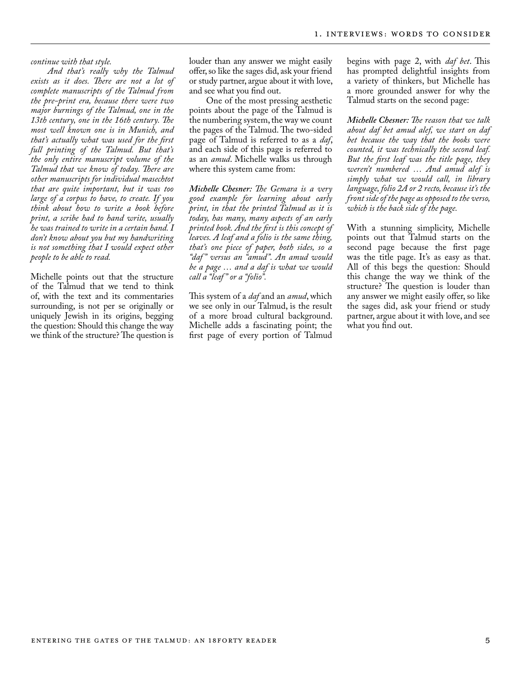*continue with that style.* 

*And that's really why the Talmud exists as it does. There are not a lot of complete manuscripts of the Talmud from the pre-print era, because there were two major burnings of the Talmud, one in the 13th century, one in the 16th century. The most well known one is in Munich, and that's actually what was used for the first full printing of the Talmud. But that's the only entire manuscript volume of the Talmud that we know of today. There are other manuscripts for individual masechtot that are quite important, but it was too large of a corpus to have, to create. If you think about how to write a book before print, a scribe had to hand write, usually he was trained to write in a certain hand. I don't know about you but my handwriting is not something that I would expect other people to be able to read.*

Michelle points out that the structure of the Talmud that we tend to think of, with the text and its commentaries surrounding, is not per se originally or uniquely Jewish in its origins, begging the question: Should this change the way we think of the structure? The question is louder than any answer we might easily offer, so like the sages did, ask your friend or study partner, argue about it with love, and see what you find out.

One of the most pressing aesthetic points about the page of the Talmud is the numbering system, the way we count the pages of the Talmud. The two-sided page of Talmud is referred to as a *daf*, and each side of this page is referred to as an *amud*. Michelle walks us through where this system came from:

*Michelle Chesner: The Gemara is a very good example for learning about early print, in that the printed Talmud as it is today, has many, many aspects of an early printed book. And the first is this concept of leaves. A leaf and a folio is the same thing, that's one piece of paper, both sides, so a "daf " versus an "amud". An amud would be a page … and a daf is what we would call a "leaf " or a "folio".*

This system of a *daf* and an *amud*, which we see only in our Talmud, is the result of a more broad cultural background. Michelle adds a fascinating point; the first page of every portion of Talmud

begins with page 2, with *daf bet*. This has prompted delightful insights from a variety of thinkers, but Michelle has a more grounded answer for why the Talmud starts on the second page:

*Michelle Chesner: The reason that we talk about daf bet amud alef, we start on daf bet because the way that the books were counted, it was technically the second leaf. But the first leaf was the title page, they weren't numbered … And amud alef is simply what we would call, in library language, folio 2A or 2 recto, because it's the front side of the page as opposed to the verso, which is the back side of the page.*

With a stunning simplicity, Michelle points out that Talmud starts on the second page because the first page was the title page. It's as easy as that. All of this begs the question: Should this change the way we think of the structure? The question is louder than any answer we might easily offer, so like the sages did, ask your friend or study partner, argue about it with love, and see what you find out.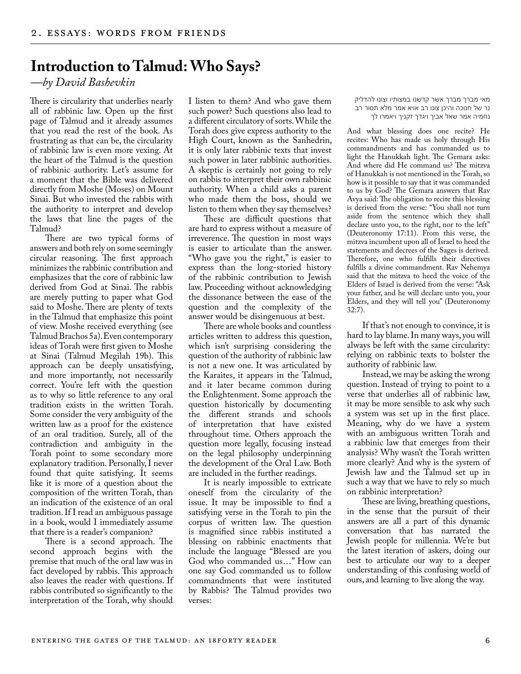## **Introduction to Talmud: Who Says?**

*—by David Bashevkin*

There is circularity that underlies nearly all of rabbinic law. Open up the first page of Talmud and it already assumes that you read the rest of the book. As frustrating as that can be, the circularity of rabbinic law is even more vexing. At the heart of the Talmud is the question of rabbinic authority. Let's assume for a moment that the Bible was delivered directly from Moshe (Moses) on Mount Sinai. But who invested the rabbis with the authority to interpret and develop the laws that line the pages of the Talmud?

There are two typical forms of answers and both rely on some seemingly circular reasoning. The first approach minimizes the rabbinic contribution and emphasizes that the core of rabbinic law derived from God at Sinai. The rabbis are merely putting to paper what God said to Moshe. There are plenty of texts in the Talmud that emphasize this point of view. Moshe received everything (see Talmud Brachos 5a). Even contemporary ideas of Torah were first given to Moshe at Sinai (Talmud Megilah 19b). This approach can be deeply unsatisfying, and more importantly, not necessarily correct. You're left with the question as to why so little reference to any oral tradition exists in the written Torah. Some consider the very ambiguity of the written law as a proof for the existence of an oral tradition. Surely, all of the contradiction and ambiguity in the Torah point to some secondary more explanatory tradition. Personally, I never found that quite satisfying. It seems like it is more of a question about the composition of the written Torah, than an indication of the existence of an oral tradition. If I read an ambiguous passage in a book, would I immediately assume that there is a reader's companion?

There is a second approach. The second approach begins with the premise that much of the oral law was in fact developed by rabbis. This approach also leaves the reader with questions. If rabbis contributed so significantly to the interpretation of the Torah, why should

I listen to them? And who gave them such power? Such questions also lead to a different circulatory of sorts. While the Torah does give express authority to the High Court, known as the Sanhedrin, it is only later rabbinic texts that invest such power in later rabbinic authorities. A skeptic is certainly not going to rely on rabbis to interpret their own rabbinic authority. When a child asks a parent who made them the boss, should we listen to them when they say themselves?

These are difficult questions that are hard to express without a measure of irreverence. The question in most ways is easier to articulate than the answer. "Who gave you the right," is easier to express than the long-storied history of the rabbinic contribution to Jewish law. Proceeding without acknowledging the dissonance between the ease of the question and the complexity of the answer would be disingenuous at best.

There are whole books and countless articles written to address this question, which isn't surprising considering the question of the authority of rabbinic law is not a new one. It was articulated by the Karaites, it appears in the Talmud, and it later became common during the Enlightenment. Some approach the question historically by documenting the different strands and schools of interpretation that have existed throughout time. Others approach the question more legally, focusing instead on the legal philosophy underpinning the development of the Oral Law. Both are included in the further readings.

It is nearly impossible to extricate oneself from the circularity of the issue. It may be impossible to find a satisfying verse in the Torah to pin the corpus of written law. The question is magnified since rabbis instituted a blessing on rabbinic enactments that include the language "Blessed are you God who commanded us…" How can one say God commanded us to follow commandments that were instituted by Rabbis? The Talmud provides two verses:

מאי מברך מברך אשר קדשנו במצותיו וצונו להדליק נר של חנוכה והיכן צונו רב אויא אמר מלא תסור רב נחמיה אמר שאל אביך ויגדך זקניך ויאמרו לך

And what blessing does one recite? He recites: Who has made us holy through His commandments and has commanded us to light the Hanukkah light. The Gemara asks: And where did He command us? The mitzva of Hanukkah is not mentioned in the Torah, so how is it possible to say that it was commanded to us by God? The Gemara answers that Rav Avya said: The obligation to recite this blessing is derived from the verse: "You shall not turn aside from the sentence which they shall declare unto you, to the right, nor to the left" (Deuteronomy 17:11). From this verse, the mitzva incumbent upon all of Israel to heed the statements and decrees of the Sages is derived. Therefore, one who fulfills their directives fulfills a divine commandment. Rav Nehemya said that the mitzva to heed the voice of the Elders of Israel is derived from the verse: "Ask your father, and he will declare unto you, your Elders, and they will tell you" (Deuteronomy 32:7).

If that's not enough to convince, it is hard to lay blame. In many ways, you will always be left with the same circularity: relying on rabbinic texts to bolster the authority of rabbinic law.

Instead, we may be asking the wrong question. Instead of trying to point to a verse that underlies all of rabbinic law, it may be more sensible to ask why such a system was set up in the first place. Meaning, why do we have a system with an ambiguous written Torah and a rabbinic law that emerges from their analysis? Why wasn't the Torah written more clearly? And why is the system of Jewish law and the Talmud set up in such a way that we have to rely so much on rabbinic interpretation?

These are living, breathing questions, in the sense that the pursuit of their answers are all a part of this dynamic conversation that has narrated the Jewish people for millennia. We're but the latest iteration of askers, doing our best to articulate our way to a deeper understanding of this confusing world of ours, and learning to live along the way.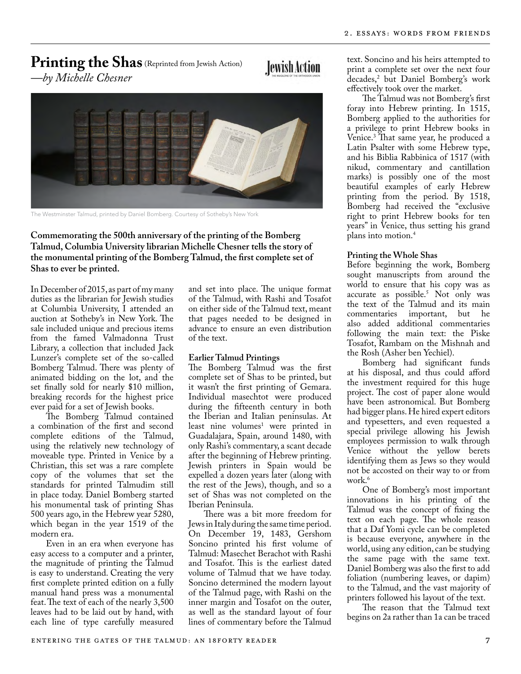## Printing the Shas (Reprinted from Jewish Action)

**Jewish Action** 

*—by Michelle Chesner*



The Westminster Talmud, printed by Daniel Bomberg. Courtesy of Sotheby's New York

**Commemorating the 500th anniversary of the printing of the Bomberg Talmud, Columbia University librarian Michelle Chesner tells the story of the monumental printing of the Bomberg Talmud, the first complete set of Shas to ever be printed.**

In December of 2015, as part of my many duties as the librarian for Jewish studies at Columbia University, I attended an auction at Sotheby's in New York. The sale included unique and precious items from the famed Valmadonna Trust Library, a collection that included Jack Lunzer's complete set of the so-called Bomberg Talmud. There was plenty of animated bidding on the lot, and the set finally sold for nearly \$10 million, breaking records for the highest price ever paid for a set of Jewish books.

The Bomberg Talmud contained a combination of the first and second complete editions of the Talmud, using the relatively new technology of moveable type. Printed in Venice by a Christian, this set was a rare complete copy of the volumes that set the standards for printed Talmudim still in place today. Daniel Bomberg started his monumental task of printing Shas 500 years ago, in the Hebrew year 5280, which began in the year 1519 of the modern era.

Even in an era when everyone has easy access to a computer and a printer, the magnitude of printing the Talmud is easy to understand. Creating the very first complete printed edition on a fully manual hand press was a monumental feat. The text of each of the nearly 3,500 leaves had to be laid out by hand, with each line of type carefully measured

and set into place. The unique format of the Talmud, with Rashi and Tosafot on either side of the Talmud text, meant that pages needed to be designed in advance to ensure an even distribution of the text.

## **Earlier Talmud Printings**

The Bomberg Talmud was the first complete set of Shas to be printed, but it wasn't the first printing of Gemara. Individual masechtot were produced during the fifteenth century in both the Iberian and Italian peninsulas. At least nine volumes<sup>1</sup> were printed in Guadalajara, Spain, around 1480, with only Rashi's commentary, a scant decade after the beginning of Hebrew printing. Jewish printers in Spain would be expelled a dozen years later (along with the rest of the Jews), though, and so a set of Shas was not completed on the Iberian Peninsula.

There was a bit more freedom for Jews in Italy during the same time period. On December 19, 1483, Gershom Soncino printed his first volume of Talmud: Masechet Berachot with Rashi and Tosafot. This is the earliest dated volume of Talmud that we have today. Soncino determined the modern layout of the Talmud page, with Rashi on the inner margin and Tosafot on the outer, as well as the standard layout of four lines of commentary before the Talmud

text. Soncino and his heirs attempted to print a complete set over the next four decades,2 but Daniel Bomberg's work effectively took over the market.

The Talmud was not Bomberg's first foray into Hebrew printing. In 1515, Bomberg applied to the authorities for a privilege to print Hebrew books in Venice.3 That same year, he produced a Latin Psalter with some Hebrew type, and his Biblia Rabbinica of 1517 (with nikud, commentary and cantillation marks) is possibly one of the most beautiful examples of early Hebrew printing from the period. By 1518, Bomberg had received the "exclusive right to print Hebrew books for ten years" in Venice, thus setting his grand plans into motion.4

#### **Printing the Whole Shas**

Before beginning the work, Bomberg sought manuscripts from around the world to ensure that his copy was as accurate as possible.5 Not only was the text of the Talmud and its main commentaries important, but he also added additional commentaries following the main text: the Piske Tosafot, Rambam on the Mishnah and the Rosh (Asher ben Yechiel).

Bomberg had significant funds at his disposal, and thus could afford the investment required for this huge project. The cost of paper alone would have been astronomical. But Bomberg had bigger plans. He hired expert editors and typesetters, and even requested a special privilege allowing his Jewish employees permission to walk through Venice without the yellow berets identifying them as Jews so they would not be accosted on their way to or from work.<sup>6</sup>

One of Bomberg's most important innovations in his printing of the Talmud was the concept of fixing the text on each page. The whole reason that a Daf Yomi cycle can be completed is because everyone, anywhere in the world, using any edition, can be studying the same page with the same text. Daniel Bomberg was also the first to add foliation (numbering leaves, or dapim) to the Talmud, and the vast majority of printers followed his layout of the text.

The reason that the Talmud text begins on 2a rather than 1a can be traced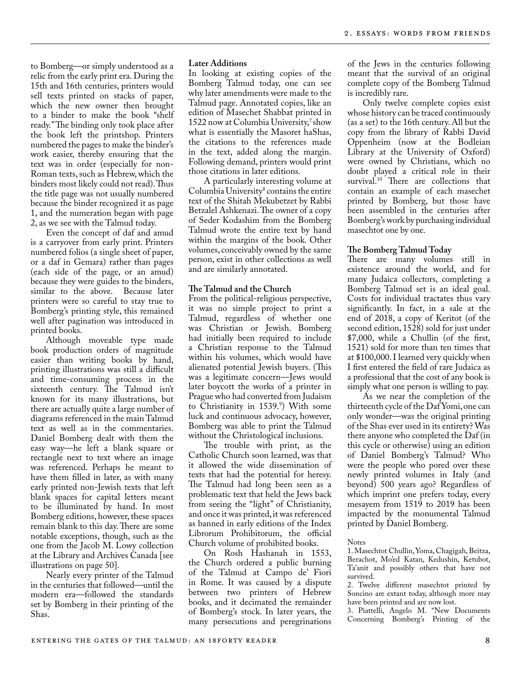to Bomberg—or simply understood as a relic from the early print era. During the 15th and 16th centuries, printers would sell texts printed on stacks of paper, which the new owner then brought to a binder to make the book "shelf ready." The binding only took place after the book left the printshop. Printers numbered the pages to make the binder's work easier, thereby ensuring that the text was in order (especially for non-Roman texts, such as Hebrew, which the binders most likely could not read). Thus the title page was not usually numbered because the binder recognized it as page 1, and the numeration began with page 2, as we see with the Talmud today.

Even the concept of daf and amud is a carryover from early print. Printers numbered folios (a single sheet of paper, or a daf in Gemara) rather than pages (each side of the page, or an amud) because they were guides to the binders, similar to the above. Because later printers were so careful to stay true to Bomberg's printing style, this remained well after pagination was introduced in printed books.

Although moveable type made book production orders of magnitude easier than writing books by hand, printing illustrations was still a difficult and time-consuming process in the sixteenth century. The Talmud isn't known for its many illustrations, but there are actually quite a large number of diagrams referenced in the main Talmud text as well as in the commentaries. Daniel Bomberg dealt with them the easy way—he left a blank square or rectangle next to text where an image was referenced. Perhaps he meant to have them filled in later, as with many early printed non-Jewish texts that left blank spaces for capital letters meant to be illuminated by hand. In most Bomberg editions, however, these spaces remain blank to this day. There are some notable exceptions, though, such as the one from the Jacob M. Lowy collection at the Library and Archives Canada [see illustrations on page 50].

Nearly every printer of the Talmud in the centuries that followed—until the modern era—followed the standards set by Bomberg in their printing of the Shas.

## **Later Additions**

In looking at existing copies of the Bomberg Talmud today, one can see why later amendments were made to the Talmud page. Annotated copies, like an edition of Masechet Shabbat printed in 1522 now at Columbia University,<sup>7</sup> show what is essentially the Masoret haShas, the citations to the references made in the text, added along the margin. Following demand, printers would print those citations in later editions.

A particularly interesting volume at Columbia University<sup>8</sup> contains the entire text of the Shitah Mekubetzet by Rabbi Betzalel Ashkenazi. The owner of a copy of Seder Kodashim from the Bomberg Talmud wrote the entire text by hand within the margins of the book. Other volumes, conceivably owned by the same person, exist in other collections as well and are similarly annotated.

## **The Talmud and the Church**

From the political-religious perspective, it was no simple project to print a Talmud, regardless of whether one was Christian or Jewish. Bomberg had initially been required to include a Christian response to the Talmud within his volumes, which would have alienated potential Jewish buyers. (This was a legitimate concern—Jews would later boycott the works of a printer in Prague who had converted from Judaism to Christianity in 1539.9 ) With some luck and continuous advocacy, however, Bomberg was able to print the Talmud without the Christological inclusions.

The trouble with print, as the Catholic Church soon learned, was that it allowed the wide dissemination of texts that had the potential for heresy. The Talmud had long been seen as a problematic text that held the Jews back from seeing the "light" of Christianity, and once it was printed, it was referenced as banned in early editions of the Index Librorum Prohibitorum, the official Church volume of prohibited books.

On Rosh Hashanah in 1553, the Church ordered a public burning of the Talmud at Campo de' Fiori in Rome. It was caused by a dispute between two printers of Hebrew books, and it decimated the remainder of Bomberg's stock. In later years, the many persecutions and peregrinations

of the Jews in the centuries following meant that the survival of an original complete copy of the Bomberg Talmud is incredibly rare.

Only twelve complete copies exist whose history can be traced continuously (as a set) to the 16th century. All but the copy from the library of Rabbi David Oppenheim (now at the Bodleian Library at the University of Oxford) were owned by Christians, which no doubt played a critical role in their survival.<sup>10</sup> There are collections that contain an example of each masechet printed by Bomberg, but those have been assembled in the centuries after Bomberg's work by purchasing individual masechtot one by one.

#### **The Bomberg Talmud Today**

There are many volumes still in existence around the world, and for many Judaica collectors, completing a Bomberg Talmud set is an ideal goal. Costs for individual tractates thus vary significantly. In fact, in a sale at the end of 2018, a copy of Keritot (of the second edition, 1528) sold for just under \$7,000, while a Chullin (of the first, 1521) sold for more than ten times that at \$100,000. I learned very quickly when I first entered the field of rare Judaica as a professional that the cost of any book is simply what one person is willing to pay.

As we near the completion of the thirteenth cycle of the Daf Yomi, one can only wonder—was the original printing of the Shas ever used in its entirety? Was there anyone who completed the Daf (in this cycle or otherwise) using an edition of Daniel Bomberg's Talmud? Who were the people who pored over these newly printed volumes in Italy (and beyond) 500 years ago? Regardless of which imprint one prefers today, every mesayem from 1519 to 2019 has been impacted by the monumental Talmud printed by Daniel Bomberg.

#### Notes

1. Masechtot Chullin, Yoma, Chagigah, Beitza, Berachot, Mo'ed Katan, Kedushin, Ketubot, Ta'anit and possibly others that have not survived.

2. Twelve different masechtot printed by Soncino are extant today, although more may have been printed and are now lost.

3. Piattelli, Angelo M. "New Documents Concerning Bomberg's Printing of the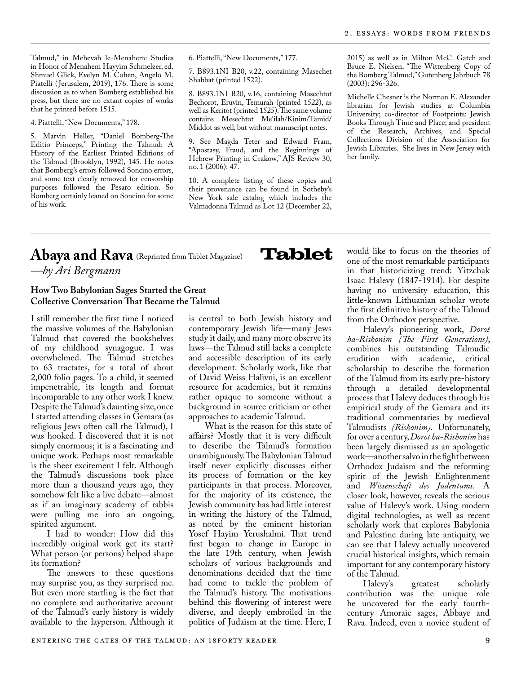Talmud," in Mehevah le-Menahem: Studies in Honor of Menahem Hayyim Schmelzer, ed. Shmuel Glick, Evelyn M. Cohen, Angelo M. Piatelli ( Jerusalem, 2019), 176. There is some discussion as to when Bomberg established his press, but there are no extant copies of works that he printed before 1515.

4. Piattelli, "New Documents," 178.

5. Marvin Heller, "Daniel Bomberg-The Editio Princeps," Printing the Talmud: A History of the Earliest Printed Editions of the Talmud (Brooklyn, 1992), 145. He notes that Bomberg's errors followed Soncino errors, and some text clearly removed for censorship purposes followed the Pesaro edition. So Bomberg certainly leaned on Soncino for some of his work.

6. Piattelli, "New Documents," 177.

7. B893.1NI B20, v.22, containing Masechet Shabbat (printed 1522).

8. B893.1NI B20, v.16, containing Masechtot Bechorot, Eruvin, Temurah (printed 1522), as well as Keritot (printed 1525). The same volume contains Mesechtot Me'ilah/Kinim/Tamid/ Middot as well, but without manuscript notes.

9. See Magda Teter and Edward Fram, "Apostasy, Fraud, and the Beginnings of Hebrew Printing in Crakow," AJS Review 30, no. 1 (2006): 47.

10. A complete listing of these copies and their provenance can be found in Sotheby's New York sale catalog which includes the Valmadonna Talmud as Lot 12 (December 22,

**Tablet** 

2015) as well as in Milton McC. Gatch and Bruce E. Nielsen, "The Wittenberg Copy of the Bomberg Talmud," Gutenberg Jahrbuch 78 (2003): 296-326.

Michelle Chesner is the Norman E. Alexander librarian for Jewish studies at Columbia University; co-director of Footprints: Jewish Books Through Time and Place; and president of the Research, Archives, and Special Collections Division of the Association for Jewish Libraries. She lives in New Jersey with her family.

## Abaya and Rava (Reprinted from Tablet Magazine) *—by Ari Bergmann*

## **How Two Babylonian Sages Started the Great Collective Conversation That Became the Talmud**

I still remember the first time I noticed the massive volumes of the Babylonian Talmud that covered the bookshelves of my childhood synagogue. I was overwhelmed. The Talmud stretches to 63 tractates, for a total of about 2,000 folio pages. To a child, it seemed impenetrable, its length and format incomparable to any other work I knew. Despite the Talmud's daunting size, once I started attending classes in Gemara (as religious Jews often call the Talmud), I was hooked. I discovered that it is not simply enormous; it is a fascinating and unique work. Perhaps most remarkable is the sheer excitement I felt. Although the Talmud's discussions took place more than a thousand years ago, they somehow felt like a live debate—almost as if an imaginary academy of rabbis were pulling me into an ongoing, spirited argument.

I had to wonder: How did this incredibly original work get its start? What person (or persons) helped shape its formation?

The answers to these questions may surprise you, as they surprised me. But even more startling is the fact that no complete and authoritative account of the Talmud's early history is widely available to the layperson. Although it is central to both Jewish history and contemporary Jewish life—many Jews study it daily, and many more observe its laws—the Talmud still lacks a complete and accessible description of its early development. Scholarly work, like that of David Weiss Halivni, is an excellent resource for academics, but it remains rather opaque to someone without a background in source criticism or other approaches to academic Talmud.

What is the reason for this state of affairs? Mostly that it is very difficult to describe the Talmud's formation unambiguously. The Babylonian Talmud itself never explicitly discusses either its process of formation or the key participants in that process. Moreover, for the majority of its existence, the Jewish community has had little interest in writing the history of the Talmud, as noted by the eminent historian Yosef Hayim Yerushalmi. That trend first began to change in Europe in the late 19th century, when Jewish scholars of various backgrounds and denominations decided that the time had come to tackle the problem of the Talmud's history. The motivations behind this flowering of interest were diverse, and deeply embroiled in the politics of Judaism at the time. Here, I

would like to focus on the theories of one of the most remarkable participants in that historicizing trend: Yitzchak Isaac Halevy (1847-1914). For despite having no university education, this little-known Lithuanian scholar wrote the first definitive history of the Talmud from the Orthodox perspective.

Halevy's pioneering work, *Dorot ha-Rishonim (The First Generations)*, combines his outstanding Talmudic erudition with academic, critical scholarship to describe the formation of the Talmud from its early pre-history through a detailed developmental process that Halevy deduces through his empirical study of the Gemara and its traditional commentaries by medieval Talmudists *(Rishonim).* Unfortunately, for over a century, *Dorot ha-Rishonim* has been largely dismissed as an apologetic work—another salvo in the fight between Orthodox Judaism and the reforming spirit of the Jewish Enlightenment and *Wissenschaft des Judentums*. A closer look, however, reveals the serious value of Halevy's work. Using modern digital technologies, as well as recent scholarly work that explores Babylonia and Palestine during late antiquity, we can see that Halevy actually uncovered crucial historical insights, which remain important for any contemporary history

of the Talmud. greatest scholarly contribution was the unique role he uncovered for the early fourthcentury Amoraic sages, Abbaye and Rava. Indeed, even a novice student of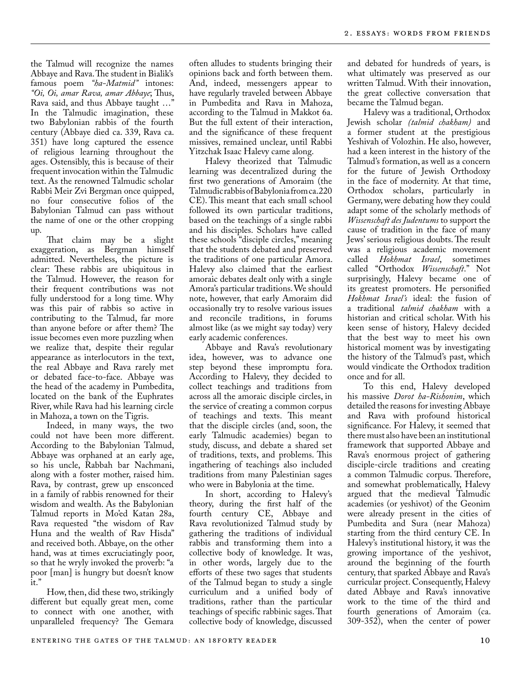the Talmud will recognize the names Abbaye and Rava. The student in Bialik's famous poem *"ha-Matmid"* intones: *"Oi, Oi, amar Rava, amar Abbaye*; Thus, Rava said, and thus Abbaye taught …" In the Talmudic imagination, these two Babylonian rabbis of the fourth century (Abbaye died ca. 339, Rava ca. 351) have long captured the essence of religious learning throughout the ages. Ostensibly, this is because of their frequent invocation within the Talmudic text. As the renowned Talmudic scholar Rabbi Meir Zvi Bergman once quipped, no four consecutive folios of the Babylonian Talmud can pass without the name of one or the other cropping up.

That claim may be a slight exaggeration, as Bergman himself admitted. Nevertheless, the picture is clear: These rabbis are ubiquitous in the Talmud. However, the reason for their frequent contributions was not fully understood for a long time. Why was this pair of rabbis so active in contributing to the Talmud, far more than anyone before or after them? The issue becomes even more puzzling when we realize that, despite their regular appearance as interlocutors in the text, the real Abbaye and Rava rarely met or debated face-to-face. Abbaye was the head of the academy in Pumbedita, located on the bank of the Euphrates River, while Rava had his learning circle in Mahoza, a town on the Tigris.

Indeed, in many ways, the two could not have been more different. According to the Babylonian Talmud, Abbaye was orphaned at an early age, so his uncle, Rabbah bar Nachmani, along with a foster mother, raised him. Rava, by contrast, grew up ensconced in a family of rabbis renowned for their wisdom and wealth. As the Babylonian Talmud reports in Mo'ed Katan 28a, Rava requested "the wisdom of Rav Huna and the wealth of Rav Hisda" and received both. Abbaye, on the other hand, was at times excruciatingly poor, so that he wryly invoked the proverb: "a poor [man] is hungry but doesn't know  $\frac{1}{1}$ .

How, then, did these two, strikingly different but equally great men, come to connect with one another, with unparalleled frequency? The Gemara

often alludes to students bringing their opinions back and forth between them. And, indeed, messengers appear to have regularly traveled between Abbaye in Pumbedita and Rava in Mahoza, according to the Talmud in Makkot 6a. But the full extent of their interaction, and the significance of these frequent missives, remained unclear, until Rabbi Yitzchak Isaac Halevy came along.

Halevy theorized that Talmudic learning was decentralized during the first two generations of Amoraim (the Talmudic rabbis of Babylonia from ca. 220 CE). This meant that each small school followed its own particular traditions, based on the teachings of a single rabbi and his disciples. Scholars have called these schools "disciple circles," meaning that the students debated and preserved the traditions of one particular Amora. Halevy also claimed that the earliest amoraic debates dealt only with a single Amora's particular traditions. We should note, however, that early Amoraim did occasionally try to resolve various issues and reconcile traditions, in forums almost like (as we might say today) very early academic conferences.

Abbaye and Rava's revolutionary idea, however, was to advance one step beyond these impromptu fora. According to Halevy, they decided to collect teachings and traditions from across all the amoraic disciple circles, in the service of creating a common corpus of teachings and texts. This meant that the disciple circles (and, soon, the early Talmudic academies) began to study, discuss, and debate a shared set of traditions, texts, and problems. This ingathering of teachings also included traditions from many Palestinian sages who were in Babylonia at the time.

In short, according to Halevy's theory, during the first half of the fourth century CE, Abbaye and Rava revolutionized Talmud study by gathering the traditions of individual rabbis and transforming them into a collective body of knowledge. It was, in other words, largely due to the efforts of these two sages that students of the Talmud began to study a single curriculum and a unified body of traditions, rather than the particular teachings of specific rabbinic sages. That collective body of knowledge, discussed

and debated for hundreds of years, is what ultimately was preserved as our written Talmud. With their innovation, the great collective conversation that became the Talmud began.

Halevy was a traditional, Orthodox Jewish scholar *(talmid chakham)* and a former student at the prestigious Yeshivah of Volozhin. He also, however, had a keen interest in the history of the Talmud's formation, as well as a concern for the future of Jewish Orthodoxy in the face of modernity. At that time, Orthodox scholars, particularly in Germany, were debating how they could adapt some of the scholarly methods of *Wissenschaft des Judentums* to support the cause of tradition in the face of many Jews' serious religious doubts. The result was a religious academic movement called *Hokhmat Israel*, sometimes called "Orthodox *Wissenschaft*." Not surprisingly, Halevy became one of its greatest promoters. He personified *Hokhmat Israel's* ideal: the fusion of a traditional *talmid chakham* with a historian and critical scholar. With his keen sense of history, Halevy decided that the best way to meet his own historical moment was by investigating the history of the Talmud's past, which would vindicate the Orthodox tradition once and for all.

To this end, Halevy developed his massive *Dorot ha-Rishonim*, which detailed the reasons for investing Abbaye and Rava with profound historical significance. For Halevy, it seemed that there must also have been an institutional framework that supported Abbaye and Rava's enormous project of gathering disciple-circle traditions and creating a common Talmudic corpus. Therefore, and somewhat problematically, Halevy argued that the medieval Talmudic academies (or yeshivot) of the Geonim were already present in the cities of Pumbedita and Sura (near Mahoza) starting from the third century CE. In Halevy's institutional history, it was the growing importance of the yeshivot, around the beginning of the fourth century, that sparked Abbaye and Rava's curricular project. Consequently, Halevy dated Abbaye and Rava's innovative work to the time of the third and fourth generations of Amoraim (ca. 309-352), when the center of power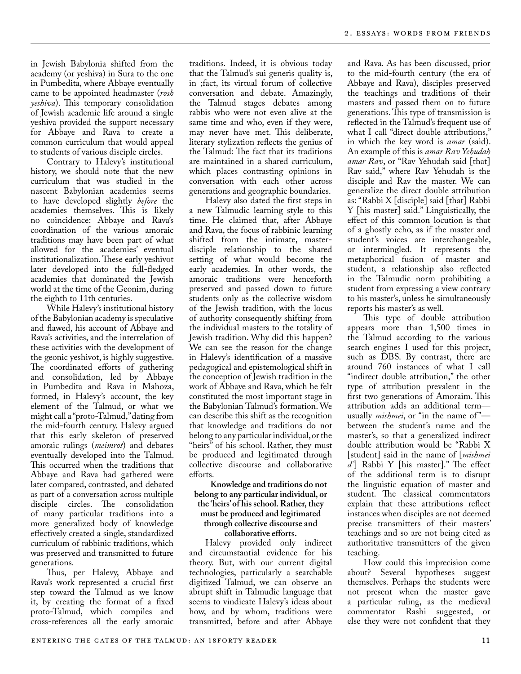in Jewish Babylonia shifted from the academy (or yeshiva) in Sura to the one in Pumbedita, where Abbaye eventually came to be appointed headmaster (*rosh yeshiva*). This temporary consolidation of Jewish academic life around a single yeshiva provided the support necessary for Abbaye and Rava to create a common curriculum that would appeal to students of various disciple circles.

Contrary to Halevy's institutional history, we should note that the new curriculum that was studied in the nascent Babylonian academies seems to have developed slightly *before* the academies themselves. This is likely no coincidence: Abbaye and Rava's coordination of the various amoraic traditions may have been part of what allowed for the academies' eventual institutionalization. These early yeshivot later developed into the full-fledged academies that dominated the Jewish world at the time of the Geonim, during the eighth to 11th centuries.

While Halevy's institutional history of the Babylonian academy is speculative and flawed, his account of Abbaye and Rava's activities, and the interrelation of these activities with the development of the geonic yeshivot, is highly suggestive. The coordinated efforts of gathering and consolidation, led by Abbaye in Pumbedita and Rava in Mahoza, formed, in Halevy's account, the key element of the Talmud, or what we might call a "proto-Talmud," dating from the mid-fourth century. Halevy argued that this early skeleton of preserved amoraic rulings (*meimrot*) and debates eventually developed into the Talmud. This occurred when the traditions that Abbaye and Rava had gathered were later compared, contrasted, and debated as part of a conversation across multiple disciple circles. The consolidation of many particular traditions into a more generalized body of knowledge effectively created a single, standardized curriculum of rabbinic traditions, which was preserved and transmitted to future generations.

Thus, per Halevy, Abbaye and Rava's work represented a crucial first step toward the Talmud as we know it, by creating the format of a fixed proto-Talmud, which compiles and cross-references all the early amoraic

traditions. Indeed, it is obvious today that the Talmud's sui generis quality is, in ;fact, its virtual forum of collective conversation and debate. Amazingly, the Talmud stages debates among rabbis who were not even alive at the same time and who, even if they were, may never have met. This deliberate, literary stylization reflects the genius of the Talmud: The fact that its traditions are maintained in a shared curriculum, which places contrasting opinions in conversation with each other across generations and geographic boundaries.

Halevy also dated the first steps in a new Talmudic learning style to this time. He claimed that, after Abbaye and Rava, the focus of rabbinic learning shifted from the intimate, masterdisciple relationship to the shared setting of what would become the early academies. In other words, the amoraic traditions were henceforth preserved and passed down to future students only as the collective wisdom of the Jewish tradition, with the locus of authority consequently shifting from the individual masters to the totality of Jewish tradition. Why did this happen? We can see the reason for the change in Halevy's identification of a massive pedagogical and epistemological shift in the conception of Jewish tradition in the work of Abbaye and Rava, which he felt constituted the most important stage in the Babylonian Talmud's formation. We can describe this shift as the recognition that knowledge and traditions do not belong to any particular individual, or the "heirs" of his school. Rather, they must be produced and legitimated through collective discourse and collaborative efforts.

## **Knowledge and traditions do not belong to any particular individual, or the 'heirs' of his school. Rather, they must be produced and legitimated through collective discourse and collaborative efforts.**

Halevy provided only indirect and circumstantial evidence for his theory. But, with our current digital technologies, particularly a searchable digitized Talmud, we can observe an abrupt shift in Talmudic language that seems to vindicate Halevy's ideas about how, and by whom, traditions were transmitted, before and after Abbaye

and Rava. As has been discussed, prior to the mid-fourth century (the era of Abbaye and Rava), disciples preserved the teachings and traditions of their masters and passed them on to future generations. This type of transmission is reflected in the Talmud's frequent use of what I call "direct double attributions," in which the key word is *amar* (said). An example of this is *amar Rav Yehudah amar Rav*, or "Rav Yehudah said [that] Rav said," where Rav Yehudah is the disciple and Rav the master. We can generalize the direct double attribution as: "Rabbi X [disciple] said [that] Rabbi Y [his master] said." Linguistically, the effect of this common locution is that of a ghostly echo, as if the master and student's voices are interchangeable, or intermingled. It represents the metaphorical fusion of master and student, a relationship also reflected in the Talmudic norm prohibiting a student from expressing a view contrary to his master's, unless he simultaneously reports his master's as well.

This type of double attribution appears more than 1,500 times in the Talmud according to the various search engines I used for this project, such as DBS. By contrast, there are around 760 instances of what I call "indirect double attribution," the other type of attribution prevalent in the first two generations of Amoraim. This attribution adds an additional term usually *mishmei*, or "in the name of"between the student's name and the master's, so that a generalized indirect double attribution would be "Rabbi X [student] said in the name of [*mishmei d'*] Rabbi Y [his master]." The effect of the additional term is to disrupt the linguistic equation of master and student. The classical commentators explain that these attributions reflect instances when disciples are not deemed precise transmitters of their masters' teachings and so are not being cited as authoritative transmitters of the given teaching.

How could this imprecision come about? Several hypotheses suggest themselves. Perhaps the students were not present when the master gave a particular ruling, as the medieval commentator Rashi suggested, or else they were not confident that they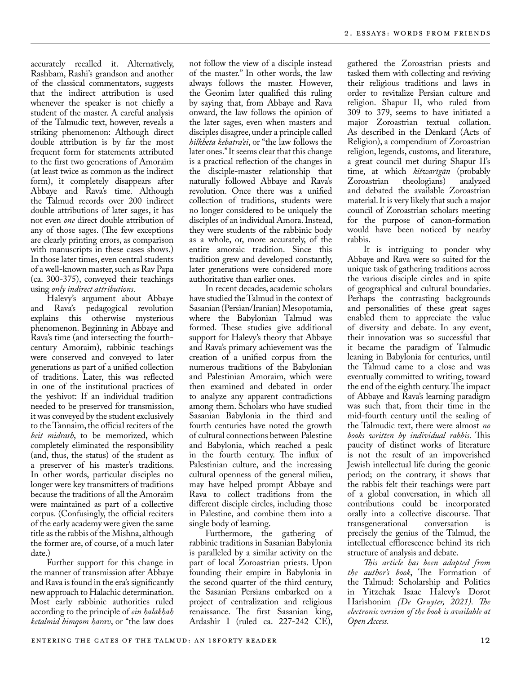accurately recalled it. Alternatively, Rashbam, Rashi's grandson and another of the classical commentators, suggests that the indirect attribution is used whenever the speaker is not chiefly a student of the master. A careful analysis of the Talmudic text, however, reveals a striking phenomenon: Although direct double attribution is by far the most frequent form for statements attributed to the first two generations of Amoraim (at least twice as common as the indirect form), it completely disappears after Abbaye and Rava's time. Although the Talmud records over 200 indirect double attributions of later sages, it has not even *one* direct double attribution of any of those sages. (The few exceptions are clearly printing errors, as comparison with manuscripts in these cases shows.) In those later times, even central students of a well-known master, such as Rav Papa (ca. 300-375), conveyed their teachings using *only indirect attributions*.

Halevy's argument about Abbaye and Rava's pedagogical revolution explains this otherwise mysterious phenomenon. Beginning in Abbaye and Rava's time (and intersecting the fourthcentury Amoraim), rabbinic teachings were conserved and conveyed to later generations as part of a unified collection of traditions. Later, this was reflected in one of the institutional practices of the yeshivot: If an individual tradition needed to be preserved for transmission, it was conveyed by the student exclusively to the Tannaim, the official reciters of the *beit midrash*, to be memorized, which completely eliminated the responsibility (and, thus, the status) of the student as a preserver of his master's traditions. In other words, particular disciples no longer were key transmitters of traditions because the traditions of all the Amoraim were maintained as part of a collective corpus. (Confusingly, the official reciters of the early academy were given the same title as the rabbis of the Mishna, although the former are, of course, of a much later date.)

Further support for this change in the manner of transmission after Abbaye and Rava is found in the era's significantly new approach to Halachic determination. Most early rabbinic authorities ruled according to the principle of *ein halakhah ketalmid bimqom harav*, or "the law does

not follow the view of a disciple instead of the master." In other words, the law always follows the master. However, the Geonim later qualified this ruling by saying that, from Abbaye and Rava onward, the law follows the opinion of the later sages, even when masters and disciples disagree, under a principle called *hilkheta kebatra'ei*, or "the law follows the later ones." It seems clear that this change is a practical reflection of the changes in the disciple-master relationship that naturally followed Abbaye and Rava's revolution. Once there was a unified collection of traditions, students were no longer considered to be uniquely the disciples of an individual Amora. Instead, they were students of the rabbinic body as a whole, or, more accurately, of the entire amoraic tradition. Since this tradition grew and developed constantly, later generations were considered more authoritative than earlier ones.

In recent decades, academic scholars have studied the Talmud in the context of Sasanian (Persian/Iranian) Mesopotamia, where the Babylonian Talmud was formed. These studies give additional support for Halevy's theory that Abbaye and Rava's primary achievement was the creation of a unified corpus from the numerous traditions of the Babylonian and Palestinian Amoraim, which were then examined and debated in order to analyze any apparent contradictions among them. Scholars who have studied Sasanian Babylonia in the third and fourth centuries have noted the growth of cultural connections between Palestine and Babylonia, which reached a peak in the fourth century. The influx of Palestinian culture, and the increasing cultural openness of the general milieu, may have helped prompt Abbaye and Rava to collect traditions from the different disciple circles, including those in Palestine, and combine them into a single body of learning.

Furthermore, the gathering of rabbinic traditions in Sasanian Babylonia is paralleled by a similar activity on the part of local Zoroastrian priests. Upon founding their empire in Babylonia in the second quarter of the third century, the Sasanian Persians embarked on a project of centralization and religious renaissance. The first Sasanian king, Ardashir I (ruled ca. 227-242 CE),

gathered the Zoroastrian priests and tasked them with collecting and reviving their religious traditions and laws in order to revitalize Persian culture and religion. Shapur II, who ruled from 309 to 379, seems to have initiated a major Zoroastrian textual collation. As described in the Dēnkard (Acts of Religion), a compendium of Zoroastrian religion, legends, customs, and literature, a great council met during Shapur II's time, at which *kišwarīgān* (probably theologians) and debated the available Zoroastrian material. It is very likely that such a major council of Zoroastrian scholars meeting for the purpose of canon-formation would have been noticed by nearby rabbis.

It is intriguing to ponder why Abbaye and Rava were so suited for the unique task of gathering traditions across the various disciple circles and in spite of geographical and cultural boundaries. Perhaps the contrasting backgrounds and personalities of these great sages enabled them to appreciate the value of diversity and debate. In any event, their innovation was so successful that it became the paradigm of Talmudic leaning in Babylonia for centuries, until the Talmud came to a close and was eventually committed to writing, toward the end of the eighth century. The impact of Abbaye and Rava's learning paradigm was such that, from their time in the mid-fourth century until the sealing of the Talmudic text, there were almost *no books written by individual rabbis*. This paucity of distinct works of literature is not the result of an impoverished Jewish intellectual life during the geonic period; on the contrary, it shows that the rabbis felt their teachings were part of a global conversation, in which all contributions could be incorporated orally into a collective discourse. That<br>transgenerational conversation is transgenerational precisely the genius of the Talmud, the intellectual efflorescence behind its rich structure of analysis and debate.

*This article has been adapted from the author's book*, The Formation of the Talmud: Scholarship and Politics in Yitzchak Isaac Halevy's Dorot Harishonim *(De Gruyter, 2021). The electronic version of the book is available at Open Access.*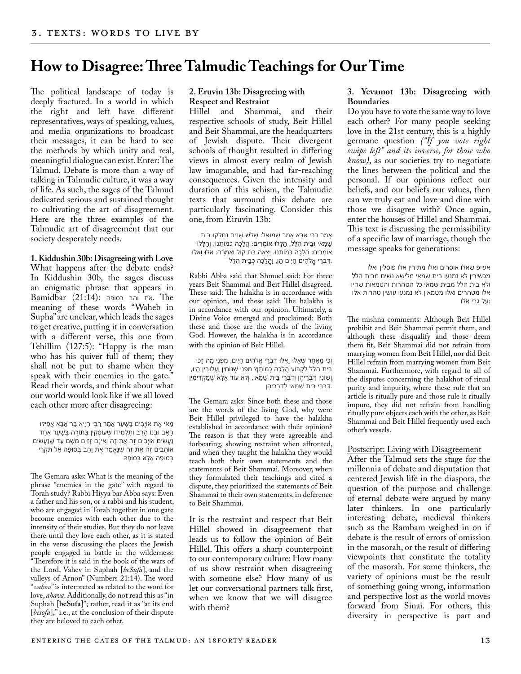## **How to Disagree: Three Talmudic Teachings for Our Time**

The political landscape of today is deeply fractured. In a world in which the right and left have different representatives, ways of speaking, values, and media organizations to broadcast their messages, it can be hard to see the methods by which unity and real, meaningful dialogue can exist. Enter: The Talmud. Debate is more than a way of talking in Talmudic culture, it was a way of life. As such, the sages of the Talmud dedicated serious and sustained thought to cultivating the art of disagreement. Here are the three examples of the Talmudic art of disagreement that our society desperately needs.

**1. Kiddushin 30b: Disagreeing with Love** 

What happens after the debate ends? In Kiddushin 30b, the sages discuss an enigmatic phrase that appears in  $B$ את והב בסופה:  $(B1:14)$ : את והב בסופה. meaning of these words "Waheb in Supha" are unclear, which leads the sages to get creative, putting it in conversation with a different verse, this one from Tehillim (127:5): "Happy is the man who has his quiver full of them; they shall not be put to shame when they speak with their enemies in the gate." Read their words, and think about what our world would look like if we all loved each other more after disagreeing:

ּ מַאי אֶת אוֹיְבִים בַּשֶּׁעַר אָמַר רַבִּי חִיָּיא בַּר אַבָּא אַפִילּוּ הָאָב וּבְנוֹ הָרַב וְתַלְמִידוֹ שֵׁעוֹסְקִין בַּתּוֹרָה בַּשֶּׁעַר אֶחָד ֿ נַעֲשִׂים אוֹיְבִים זֶה אֶת זֶה וְאֵינָם זָזִים מִשָּׁם עַד שֶׁנַּעֲשִׂים אֹוהֲבִים זֶה אֶת זֶה שֶׁ נֶּאֱמַר אֶת ו ָהֵב בְּסּופָה אַל תִּקְרֵי בְּסּופָה אֶלָּא בְּסֹופָּה

The Gemara asks: What is the meaning of the phrase "enemies in the gate" with regard to Torah study? Rabbi Hiyya bar Abba says: Even a father and his son, or a rabbi and his student, who are engaged in Torah together in one gate become enemies with each other due to the intensity of their studies. But they do not leave there until they love each other, as it is stated in the verse discussing the places the Jewish people engaged in battle in the wilderness: "Therefore it is said in the book of the wars of the Lord, Vahev in Suphah [*beSufa*], and the valleys of Arnon" (Numbers 21:14). The word "*vahev*" is interpreted as related to the word for love, *ahava*. Additionally, do not read this as "in Suphah [**beSufa**]"; rather, read it as "at its end [*besofa*]," i.e., at the conclusion of their dispute they are beloved to each other.

## **2. Eruvin 13b: Disagreeing with Respect and Restraint**

Hillel and Shammai, and their respective schools of study, Beit Hillel and Beit Shammai, are the headquarters of Jewish dispute. Their divergent schools of thought resulted in differing views in almost every realm of Jewish law imaganable, and had far-reaching consequences. Given the intensity and duration of this schism, the Talmudic texts that surround this debate are particularly fascinating. Consider this one, from Eiruvin 13b:

אָמַר רַבִּי אַבָּא אָמַר שָׁמוּאֵל: שָׁלֹש שָׁנִים נֵחִלְקוּ בֵּית ּשַׁמַּאי ּוּבֵית הָלֵל, הַלָּלוּ אוֹמְרִים: הֲלָכָה כְּמוֹתֵנוּ, וְהַלָּלוּ ּאוֹמְרִים: הֲלָכָה כְּמוֹתֵנוּ. יָצְאָה בַּת קוֹל וְאָמְרָה: אֵלּוּ וָאֵלּוּ .דִּבְרֵי אֱלֹהִים חַי ִּים הֵן, ו ַהֲלָכָה כְּבֵית הִלֵּל

Rabbi Abba said that Shmuel said: For three years Beit Shammai and Beit Hillel disagreed. These said: The halakha is in accordance with our opinion, and these said: The halakha is in accordance with our opinion. Ultimately, a Divine Voice emerged and proclaimed: Both these and those are the words of the living God. However, the halakha is in accordance with the opinion of Beit Hillel.

ּוְכִי מֵאַחַר שֶׁאֵלּוּ וָאֵלּוּ דִּבְרֵי אֱלֹהִים חַיִּים, מִפְּנֵי מָה זָכוּ בֵּית הִלֵּל לִקְּבֹועַ הֲלָכָה כְּמֹותָן? מִפְּנֵי שֶׁ ּנֹוחִין ו ַעֲלּובִין הָיּו, ו ְׁשֹונִין דִּבְרֵיהֶן ו ְדִבְרֵי בֵּית שַׁ מַּאי, ו ְלֹא עֹוד אֶלָּא שֶׁ מַּקְדִּימִין .דִּבְרֵי בֵּית שַׁ מַּאי לְדִבְרֵיהֶן

The Gemara asks: Since both these and those are the words of the living God, why were Beit Hillel privileged to have the halakha established in accordance with their opinion? The reason is that they were agreeable and forbearing, showing restraint when affronted, and when they taught the halakha they would teach both their own statements and the statements of Beit Shammai. Moreover, when they formulated their teachings and cited a dispute, they prioritized the statements of Beit Shammai to their own statements, in deference to Beit Shammai.

It is the restraint and respect that Beit Hillel showed in disagreement that leads us to follow the opinion of Beit Hillel. This offers a sharp counterpoint to our contemporary culture: How many of us show restraint when disagreeing with someone else? How many of us let our conversational partners talk first, when we know that we will disagree with them?

### **3. Yevamot 13b: Disagreeing with Boundaries**

Do you have to vote the same way to love each other? For many people seeking love in the 21st century, this is a highly germane question *("If you vote right swipe left" and its inverse, for those who know)*, as our societies try to negotiate the lines between the political and the personal. If our opinions reflect our beliefs, and our beliefs our values, then can we truly eat and love and dine with those we disagree with? Once again, enter the houses of Hillel and Shammai. This text is discussing the permissibility of a specific law of marriage, though the message speaks for generations:

אע"פ שאלו אוסרים ואלו מתירין אלו פוסלין ואלו מכשירין לא נמנעו בית שמאי מלישא נשים מבית הלל ולא בית הלל מבית שמאי כל הטהרות והטמאות שהיו אלו מטהרים ואלו מטמאין לא נמנעו עושין טהרות אלו :על גבי אלו

The mishna comments: Although Beit Hillel prohibit and Beit Shammai permit them, and although these disqualify and those deem them fit, Beit Shammai did not refrain from marrying women from Beit Hillel, nor did Beit Hillel refrain from marrying women from Beit Shammai. Furthermore, with regard to all of the disputes concerning the halakhot of ritual purity and impurity, where these rule that an article is ritually pure and those rule it ritually impure, they did not refrain from handling ritually pure objects each with the other, as Beit Shammai and Beit Hillel frequently used each other's vessels.

## Postscript: Living with Disagreement

After the Talmud sets the stage for the millennia of debate and disputation that centered Jewish life in the diaspora, the question of the purpose and challenge of eternal debate were argued by many later thinkers. In one particularly interesting debate, medieval thinkers such as the Rambam weighed in on if debate is the result of errors of omission in the masorah, or the result of differing viewpoints that constitute the totality of the masorah. For some thinkers, the variety of opinions must be the result of something going wrong, information and perspective lost as the world moves forward from Sinai. For others, this diversity in perspective is part and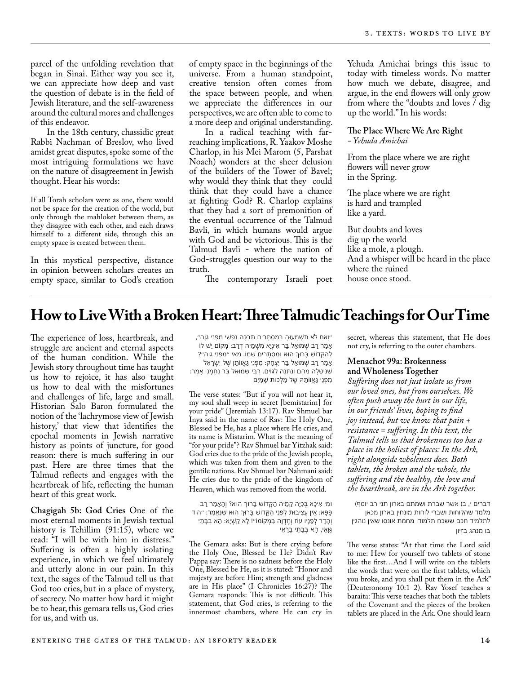parcel of the unfolding revelation that began in Sinai. Either way you see it, we can appreciate how deep and vast the question of debate is in the field of Jewish literature, and the self-awareness around the cultural mores and challenges of this endeavor.

In the 18th century, chassidic great Rabbi Nachman of Breslov, who lived amidst great disputes, spoke some of the most intriguing formulations we have on the nature of disagreement in Jewish thought. Hear his words:

If all Torah scholars were as one, there would not be space for the creation of the world, but only through the mahloket between them, as they disagree with each other, and each draws himself to a different side, through this an empty space is created between them.

In this mystical perspective, distance in opinion between scholars creates an empty space, similar to God's creation of empty space in the beginnings of the universe. From a human standpoint, creative tension often comes from the space between people, and when we appreciate the differences in our perspectives, we are often able to come to a more deep and original understanding.

In a radical teaching with farreaching implications, R. Yaakov Moshe Charlop, in his Mei Marom (5, Parshat Noach) wonders at the sheer delusion of the builders of the Tower of Bavel; why would they think that they could think that they could have a chance at fighting God? R. Charlop explains that they had a sort of premonition of the eventual occurrence of the Talmud Bavli, in which humans would argue with God and be victorious. This is the Talmud Bavli - where the nation of God-struggles question our way to the truth.

Yehuda Amichai brings this issue to today with timeless words. No matter how much we debate, disagree, and argue, in the end flowers will only grow from where the "doubts and loves / dig up the world." In his words:

## **The Place Where We Are Right** *- Yehuda Amichai*

From the place where we are right flowers will never grow in the Spring.

The place where we are right is hard and trampled like a yard.

But doubts and loves dig up the world like a mole, a plough. And a whisper will be heard in the place where the ruined house once stood.

**How to Live With a Broken Heart: Three Talmudic Teachings for Our Time**

The contemporary Israeli poet

The experience of loss, heartbreak, and struggle are ancient and eternal aspects of the human condition. While the Jewish story throughout time has taught us how to rejoice, it has also taught us how to deal with the misfortunes and challenges of life, large and small. Historian Salo Baron formulated the notion of the 'lachrymose view of Jewish history,' that view that identifies the epochal moments in Jewish narrative history as points of juncture, for good reason: there is much suffering in our past. Here are three times that the Talmud reflects and engages with the heartbreak of life, reflecting the human heart of this great work.

**Chagigah 5b: God Cries** One of the most eternal moments in Jewish textual history is Tehillim (91:15), where we read: "I will be with him in distress." Suffering is often a highly isolating experience, in which we feel ultimately and utterly alone in our pain. In this text, the sages of the Talmud tell us that God too cries, but in a place of mystery, of secrecy. No matter how hard it might be to hear, this gemara tells us, God cries for us, and with us.

״ו ְאִם לֹא תִשְׁ מָעּוהָ בְּמִסְתָּרִים תִּבְכֶּה נַפְשִׁ י מִפְּנֵי גֵו ָה״, אָמַר רַב שָׁמוּאֵל בַּר אִינְיַא מִשָּׁמֵיהּ דְּרַב: מַקוֹם יֵשׁ לוֹ לְהַקָּדוֹשׁ בָּרוּךְ הוּא וּמִסְתָּרִים שְׁמוֹ. מַאי ״מִפְּנֵי גֵוָה״? אָמַר רַב שָׁמוּאֵל בַּר יִצְחָק: מִפְּנֵי גַאֲווֹתָן שֵׁל יִשְׂרָאֵל ּשֶׁנִיטָּלָה מֵהֶם וְנִתְּנָה לַּגּוֹיִם. רַבִּי שָׁמוּאֵל בַּר נַחְמָנִי אָמַר: מִפְּנֵי גַּאֲוֹתָה שֶׁל מַלְכוּת שָׁמַיִם

The verse states: "But if you will not hear it, my soul shall weep in secret [bemistarim] for your pride" ( Jeremiah 13:17). Rav Shmuel bar Inya said in the name of Rav: The Holy One, Blessed be He, has a place where He cries, and its name is Mistarim. What is the meaning of "for your pride"? Rav Shmuel bar Yitzhak said: God cries due to the pride of the Jewish people, which was taken from them and given to the gentile nations. Rav Shmuel bar Nahmani said: He cries due to the pride of the kingdom of Heaven, which was removed from the world.

**וּמִי אִיכָּא בִּכְיָה קַמֵּיהּ הַקֶּדוֹשׁ בָּרוּךְ הוּא? וְהָאָמַר רַב** פָּפָּא: אֵין עֲצִיבּות לִפְנֵי הַקָּדֹוׁש בָּרּוְך הּוא שֶׁ נֶּאֱמַר: ״הֹוד ו ְהָדָר לְפָנָיו עֹוז ו ְחֶדְו ָה בִּמְקֹומֹו״! לָא קַשְׁ י ָא: הָא בְּבָתֵּי גַו ָּאֵי, הָא בְּבָתֵּי בַרָאֵי

The Gemara asks: But is there crying before the Holy One, Blessed be He? Didn't Rav Pappa say: There is no sadness before the Holy One, Blessed be He, as it is stated: "Honor and majesty are before Him; strength and gladness are in His place" (I Chronicles 16:27)? The Gemara responds: This is not difficult. This statement, that God cries, is referring to the innermost chambers, where He can cry in secret, whereas this statement, that He does not cry, is referring to the outer chambers.

## **Menachot 99a: Brokenness and Wholeness Together**

*Suffering does not just isolate us from our loved ones, but from ourselves. We often push away the hurt in our life, in our friends' lives, hoping to find joy instead, but we know that pain + resistance = suffering. In this text, the Talmud tells us that brokenness too has a place in the holiest of places: In the Ark, right alongside wholeness does. Both tablets, the broken and the whole, the suffering and the healthy, the love and the heartbreak, are in the Ark together.* 

(ברים י, ב) אשר שברת ושמתם בארון תני רב יוסף מלמד שהלוחות ושברי לוחות מונחין בארון מכאן לתלמיד חכם ששכח תלמודו מחמת אונסו שאין נוהגין בו מנהג בזיון

The verse states: "At that time the Lord said to me: Hew for yourself two tablets of stone like the first…And I will write on the tablets the words that were on the first tablets, which you broke, and you shall put them in the Ark" (Deuteronomy 10:1–2). Rav Yosef teaches a baraita: This verse teaches that both the tablets of the Covenant and the pieces of the broken tablets are placed in the Ark. One should learn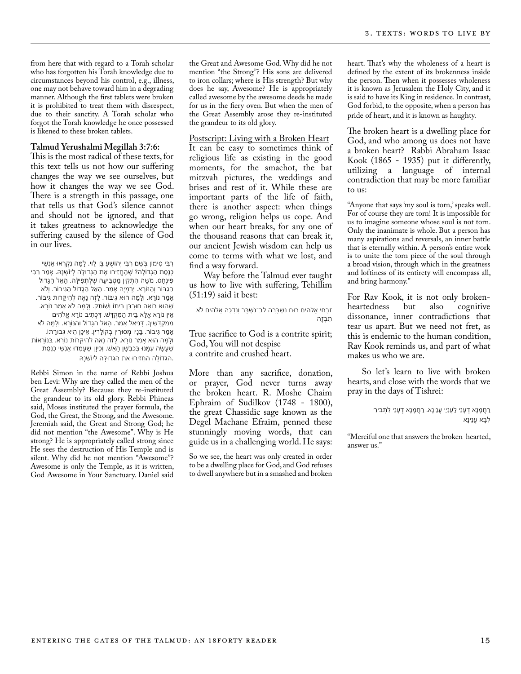from here that with regard to a Torah scholar who has forgotten his Torah knowledge due to circumstances beyond his control, e.g., illness, one may not behave toward him in a degrading manner. Although the first tablets were broken it is prohibited to treat them with disrespect, due to their sanctity. A Torah scholar who forgot the Torah knowledge he once possessed is likened to these broken tablets.

#### **Talmud Yerushalmi Megillah 3:7:6:**

This is the most radical of these texts, for this text tells us not how our suffering changes the way we see ourselves, but how it changes the way we see God. There is a strength in this passage, one that tells us that God's silence cannot and should not be ignored, and that it takes greatness to acknowledge the suffering caused by the silence of God in our lives.

רִבִּי סִימֹון בְּשֵׁ ם רִבִּי י ְהֹושֻׁ עַ בֶּן לִֵוי. לָמָּה נִקְרְאּו אַנְשֵׁ י כְנֶסֶת הַגְּדֹולָה? שֶׁ הֶחֱזִירּו אֶת הַגְּדּולָּה לְיֹושְׁ נָּה. אָמַר רִבִּי פִינְחָס. מֹשֶׁ ה הִתְקִין מַטְבֵּיעָּה שְׁ לְתְּפִילָּה. הָאֵ֨ל הַגָּדֹול הַגִּּבֹור ו ְהַּנֹורָא. י ִרְמְי ָה אָמַר. הָאֵל הַגָּדֹול הַגִּיּבֹור. ו ְלֹא אָמַר נֹורָא. ו ְלָמָּה הּוא גִיּבֹור. לָזֶה נָאֶה לְהִיקָּרות גִּיּבֹור. שֶׁ הּוא רֹואֶה חּורְבַּן בֵּיתֹו ו ְׁשֹותֵק. ו ְלָמָּה לֹא אָמַר נֹורָא. אֵין נֹורָא אֶלָּא בֵית הַמִּקְדָּׁש. דִּכְתִיב נֹורָא אֱלֹהִים מִמִּקְדָּשֶׁ יָך. דָּנִיאֵל אָמַר. הָאֵל הַגָּדֹול ו ְהַּנֹורָא. ו ְלָמָּה לֹא אָמַר גִּיּבֹור. בָּנָיו מְסּורִין בְּקֹולָרִין. אֵיכָן הִיא גְבּורָתֹו. ו ְלָמָּה הּוא אָמַר נֹורָא. לָזֶה נָאֶה לְהִיקָּרֹות נֹורָא. בְּנֹורָאֹות ּשֶׁ עָשָׂה עִמָּנוּ בְּכִבְשֶׁן הָאֵשׁ. וְכֵיוָן שֶׁעָמְדוּ אַנְשֵׁי כְנֶסֶת .הַגְּדֹולָה הֲחֱזִירּו אֶת הַגְּדּולָּה לְיֹושְׁ נָּה

Rebbi Simon in the name of Rebbi Joshua ben Levi: Why are they called the men of the Great Assembly? Because they re-instituted the grandeur to its old glory. Rebbi Phineas said, Moses instituted the prayer formula, the God, the Great, the Strong, and the Awesome. Jeremiah said, the Great and Strong God; he did not mention "the Awesome". Why is He strong? He is appropriately called strong since He sees the destruction of His Temple and is silent. Why did he not mention "Awesome"? Awesome is only the Temple, as it is written, God Awesome in Your Sanctuary. Daniel said the Great and Awesome God. Why did he not mention "the Strong"? His sons are delivered to iron collars; where is His strength? But why does he say, Awesome? He is appropriately called awesome by the awesome deeds he made for us in the fiery oven. But when the men of the Great Assembly arose they re-instituted the grandeur to its old glory.

Postscript: Living with a Broken Heart It can be easy to sometimes think of religious life as existing in the good moments, for the smachot, the bat mitzvah pictures, the weddings and brises and rest of it. While these are important parts of the life of faith, there is another aspect: when things go wrong, religion helps us cope. And when our heart breaks, for any one of the thousand reasons that can break it, our ancient Jewish wisdom can help us come to terms with what we lost, and find a way forward.

Way before the Talmud ever taught us how to live with suffering, Tehillim (51:19) said it best:

זִבְחֵי אֱלֹהִים רּוחַ נִשְׁ בָּרָה לֵב־נִשְׁ בָּר ו ְנִדְכֶּה אֱלֹהִים לֹא תִבְזֶה

True sacrifice to God is a contrite spirit; God, You will not despise a contrite and crushed heart.

More than any sacrifice, donation, or prayer, God never turns away the broken heart. R. Moshe Chaim Ephraim of Sudilkov (1748 - 1800), the great Chassidic sage known as the Degel Machane Efraim, penned these stunningly moving words, that can guide us in a challenging world. He says:

So we see, the heart was only created in order to be a dwelling place for God, and God refuses to dwell anywhere but in a smashed and broken heart. That's why the wholeness of a heart is defined by the extent of its brokenness inside the person. Then when it possesses wholeness it is known as Jerusalem the Holy City, and it is said to have its King in residence. In contrast, God forbid, to the opposite, when a person has pride of heart, and it is known as haughty.

The broken heart is a dwelling place for God, and who among us does not have a broken heart? Rabbi Abraham Isaac Kook (1865 - 1935) put it differently, utilizing a language of internal contradiction that may be more familiar to us:

"Anyone that says 'my soul is torn,' speaks well. For of course they are torn! It is impossible for us to imagine someone whose soul is not torn. Only the inanimate is whole. But a person has many aspirations and reversals, an inner battle that is eternally within. A person's entire work is to unite the torn piece of the soul through a broad vision, through which in the greatness and loftiness of its entirety will encompass all, and bring harmony."

For Rav Kook, it is not only broken-<br>heartedness but also cognitive heartedness dissonance, inner contradictions that tear us apart. But we need not fret, as this is endemic to the human condition, Rav Kook reminds us, and part of what makes us who we are.

So let's learn to live with broken hearts, and close with the words that we pray in the days of Tishrei:

> רַחֲמָנָא דְעָנֵי לַעֲנִי ֵּי עֲנֵינָא. רַחֲמָנָא דְעָנֵי לִתְבִירֵי לִבָּא עֲנֵינָא

"Merciful one that answers the broken-hearted, answer us."